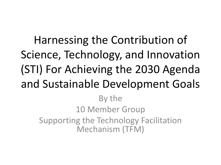Harnessing the Contribution of Science, Technology, and Innovation (STI) For Achieving the 2030 Agenda and Sustainable Development Goals By the 10 Member Group

Supporting the Technology Facilitation Mechanism (TFM)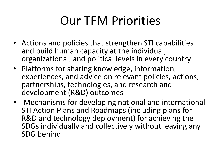## Our TFM Priorities

- Actions and policies that strengthen STI capabilities and build human capacity at the individual, organizational, and political levels in every country
- Platforms for sharing knowledge, information, experiences, and advice on relevant policies, actions, partnerships, technologies, and research and development (R&D) outcomes
- Mechanisms for developing national and international STI Action Plans and Roadmaps (including plans for R&D and technology deployment) for achieving the SDGs individually and collectively without leaving any SDG behind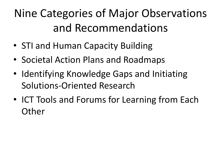## Nine Categories of Major Observations and Recommendations

- STI and Human Capacity Building
- Societal Action Plans and Roadmaps
- Identifying Knowledge Gaps and Initiating Solutions-Oriented Research
- ICT Tools and Forums for Learning from Each **Other**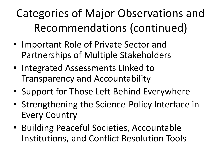## Categories of Major Observations and Recommendations (continued)

- Important Role of Private Sector and Partnerships of Multiple Stakeholders
- Integrated Assessments Linked to Transparency and Accountability
- Support for Those Left Behind Everywhere
- Strengthening the Science-Policy Interface in Every Country
- Building Peaceful Societies, Accountable Institutions, and Conflict Resolution Tools